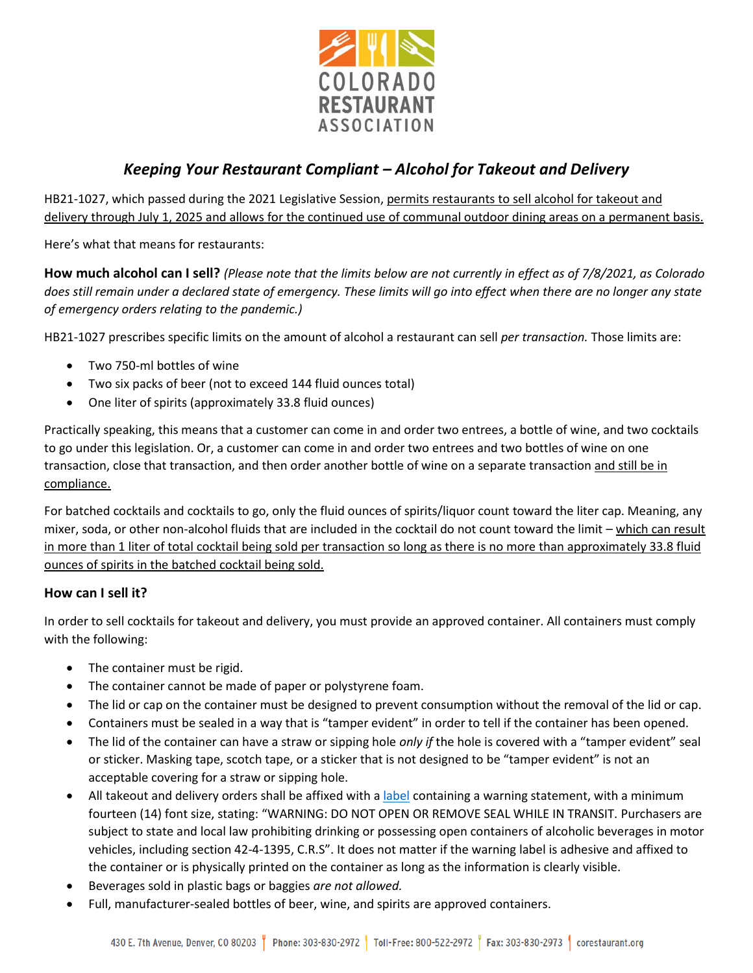

# *Keeping Your Restaurant Compliant – Alcohol for Takeout and Delivery*

HB21-1027, which passed during the 2021 Legislative Session, permits restaurants to sell alcohol for takeout and delivery through July 1, 2025 and allows for the continued use of communal outdoor dining areas on a permanent basis.

Here's what that means for restaurants:

**How much alcohol can I sell?** *(Please note that the limits below are not currently in effect as of 7/8/2021, as Colorado does still remain under a declared state of emergency. These limits will go into effect when there are no longer any state of emergency orders relating to the pandemic.)*

HB21-1027 prescribes specific limits on the amount of alcohol a restaurant can sell *per transaction.* Those limits are:

- Two 750-ml bottles of wine
- Two six packs of beer (not to exceed 144 fluid ounces total)
- One liter of spirits (approximately 33.8 fluid ounces)

Practically speaking, this means that a customer can come in and order two entrees, a bottle of wine, and two cocktails to go under this legislation. Or, a customer can come in and order two entrees and two bottles of wine on one transaction, close that transaction, and then order another bottle of wine on a separate transaction and still be in compliance.

For batched cocktails and cocktails to go, only the fluid ounces of spirits/liquor count toward the liter cap. Meaning, any mixer, soda, or other non-alcohol fluids that are included in the cocktail do not count toward the limit – which can result in more than 1 liter of total cocktail being sold per transaction so long as there is no more than approximately 33.8 fluid ounces of spirits in the batched cocktail being sold.

#### **How can I sell it?**

In order to sell cocktails for takeout and delivery, you must provide an approved container. All containers must comply with the following:

- The container must be rigid.
- The container cannot be made of paper or polystyrene foam.
- The lid or cap on the container must be designed to prevent consumption without the removal of the lid or cap.
- Containers must be sealed in a way that is "tamper evident" in order to tell if the container has been opened.
- The lid of the container can have a straw or sipping hole *only if* the hole is covered with a "tamper evident" seal or sticker. Masking tape, scotch tape, or a sticker that is not designed to be "tamper evident" is not an acceptable covering for a straw or sipping hole.
- All takeout and delivery orders shall be affixed with [a label](https://corestaurant.org/assets/uploads/tinymice/Alcohol%20to%20Go%20Stickers.pdf) containing a warning statement, with a minimum fourteen (14) font size, stating: "WARNING: DO NOT OPEN OR REMOVE SEAL WHILE IN TRANSIT. Purchasers are subject to state and local law prohibiting drinking or possessing open containers of alcoholic beverages in motor vehicles, including section 42-4-1395, C.R.S". It does not matter if the warning label is adhesive and affixed to the container or is physically printed on the container as long as the information is clearly visible.
- Beverages sold in plastic bags or baggies *are not allowed.*
- Full, manufacturer-sealed bottles of beer, wine, and spirits are approved containers.